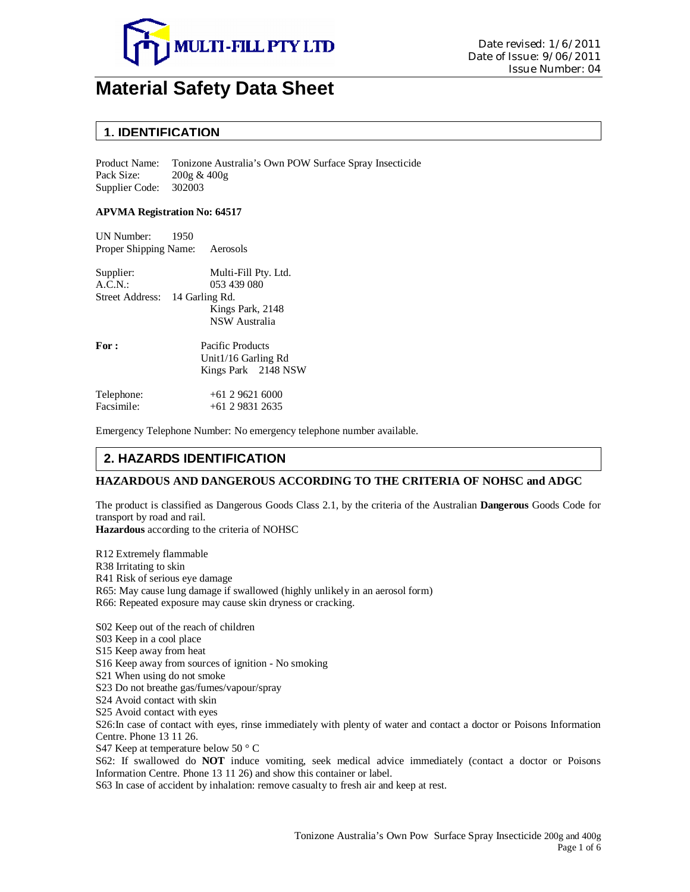

# **Material Safety Data Sheet**

### **1. IDENTIFICATION**

Product Name: Tonizone Australia's Own POW Surface Spray Insecticide Pack Size: 200g & 400g Supplier Code: 302003

#### **APVMA Registration No: 64517**

UN Number: 1950 Proper Shipping Name: Aerosols

| Supplier:                      | Multi-Fill Pty. Ltd. |  |
|--------------------------------|----------------------|--|
| A.C.N.                         | 053 439 080          |  |
| Street Address: 14 Garling Rd. |                      |  |
|                                | Kings Park, 2148     |  |
|                                | NSW Australia        |  |
| For:                           | Pacific Products     |  |
|                                | Unit1/16 Garling Rd  |  |
|                                | Kings Park 2148 NSW  |  |
| Telephone:                     | $+61296216000$       |  |
| Facsimile:                     | +61 2 9831 2635      |  |

Emergency Telephone Number: No emergency telephone number available.

# **2. HAZARDS IDENTIFICATION**

### **HAZARDOUS AND DANGEROUS ACCORDING TO THE CRITERIA OF NOHSC and ADGC**

The product is classified as Dangerous Goods Class 2.1, by the criteria of the Australian **Dangerous** Goods Code for transport by road and rail.

**Hazardous** according to the criteria of NOHSC

R12 Extremely flammable R38 Irritating to skin R41 Risk of serious eye damage R65: May cause lung damage if swallowed (highly unlikely in an aerosol form) R66: Repeated exposure may cause skin dryness or cracking.

S02 Keep out of the reach of children S03 Keep in a cool place S15 Keep away from heat S16 Keep away from sources of ignition - No smoking S21 When using do not smoke S23 Do not breathe gas/fumes/vapour/spray S24 Avoid contact with skin S25 Avoid contact with eyes

S26:In case of contact with eyes, rinse immediately with plenty of water and contact a doctor or Poisons Information Centre. Phone 13 11 26.

S47 Keep at temperature below 50 ° C

S62: If swallowed do **NOT** induce vomiting, seek medical advice immediately (contact a doctor or Poisons Information Centre. Phone 13 11 26) and show this container or label.

S63 In case of accident by inhalation: remove casualty to fresh air and keep at rest.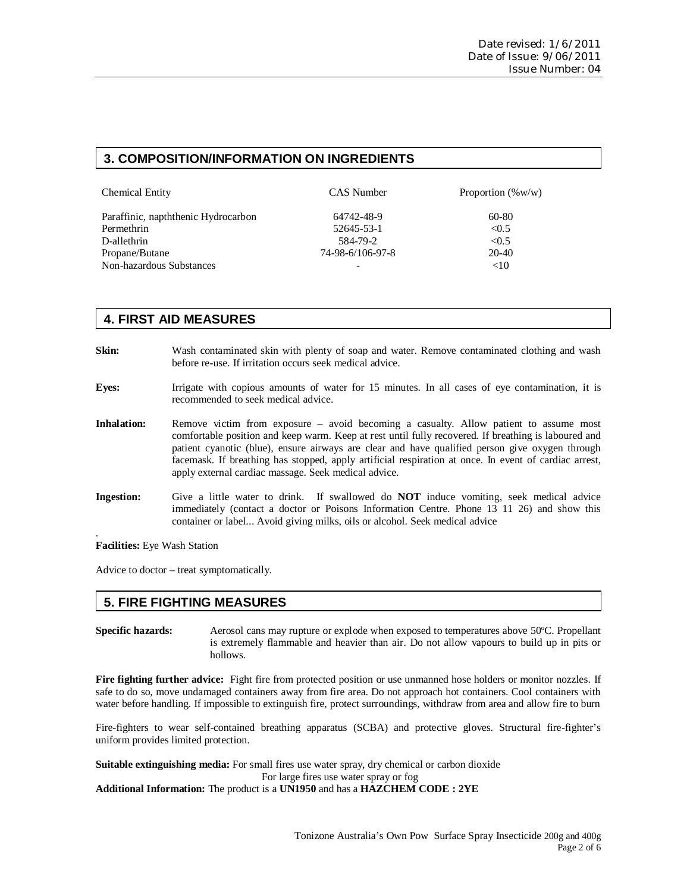# **3. COMPOSITION/INFORMATION ON INGREDIENTS**

| <b>Chemical Entity</b>              | CAS Number       | Proportion $(\%w/w)$ |
|-------------------------------------|------------------|----------------------|
| Paraffinic, napththenic Hydrocarbon | 64742-48-9       | 60-80                |
| Permethrin                          | 52645-53-1       | < 0.5                |
| D-allethrin                         | 584-79-2         | < 0.5                |
| Propane/Butane                      | 74-98-6/106-97-8 | 20-40                |
| Non-hazardous Substances            |                  | <10                  |

# **4. FIRST AID MEASURES**

- **Skin:** Wash contaminated skin with plenty of soap and water. Remove contaminated clothing and wash before re-use. If irritation occurs seek medical advice.
- **Eyes:** Irrigate with copious amounts of water for 15 minutes. In all cases of eye contamination, it is recommended to seek medical advice.
- **Inhalation:** Remove victim from exposure avoid becoming a casualty. Allow patient to assume most comfortable position and keep warm. Keep at rest until fully recovered. If breathing is laboured and patient cyanotic (blue), ensure airways are clear and have qualified person give oxygen through facemask. If breathing has stopped, apply artificial respiration at once. In event of cardiac arrest, apply external cardiac massage. Seek medical advice.
- **Ingestion:** Give a little water to drink. If swallowed do **NOT** induce vomiting, seek medical advice immediately (contact a doctor or Poisons Information Centre. Phone 13 11 26) and show this container or label... Avoid giving milks, oils or alcohol. Seek medical advice

**Facilities:** Eye Wash Station

.

Advice to doctor – treat symptomatically.

### **5. FIRE FIGHTING MEASURES**

**Specific hazards:** Aerosol cans may rupture or explode when exposed to temperatures above 50ºC. Propellant is extremely flammable and heavier than air. Do not allow vapours to build up in pits or hollows.

**Fire fighting further advice:** Fight fire from protected position or use unmanned hose holders or monitor nozzles. If safe to do so, move undamaged containers away from fire area. Do not approach hot containers. Cool containers with water before handling. If impossible to extinguish fire, protect surroundings, withdraw from area and allow fire to burn

Fire-fighters to wear self-contained breathing apparatus (SCBA) and protective gloves. Structural fire-fighter's uniform provides limited protection.

**Suitable extinguishing media:** For small fires use water spray, dry chemical or carbon dioxide

For large fires use water spray or fog

**Additional Information:** The product is a **UN1950** and has a **HAZCHEM CODE : 2YE**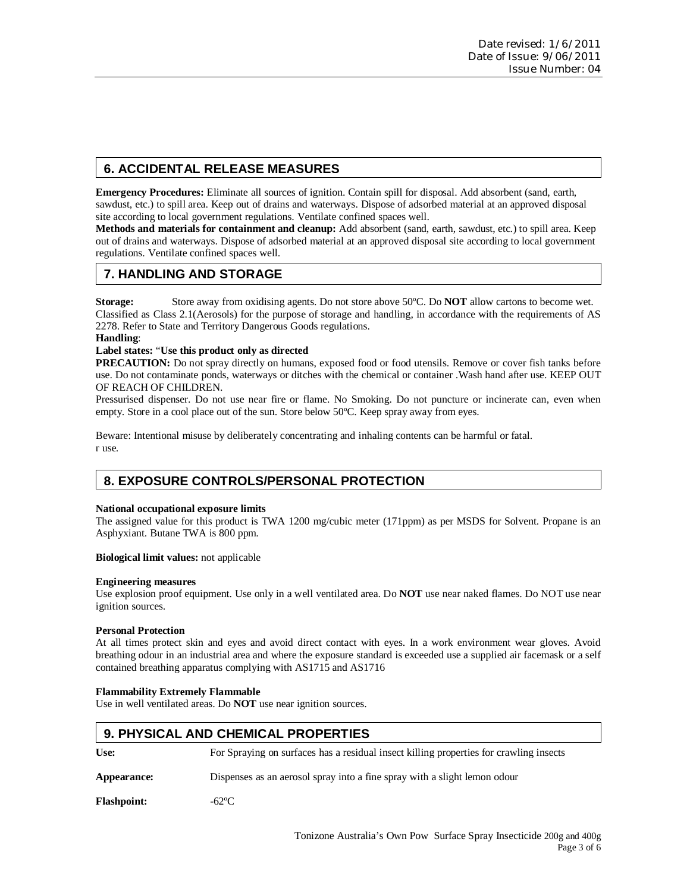# **6. ACCIDENTAL RELEASE MEASURES**

**Emergency Procedures:** Eliminate all sources of ignition. Contain spill for disposal. Add absorbent (sand, earth, sawdust, etc.) to spill area. Keep out of drains and waterways. Dispose of adsorbed material at an approved disposal site according to local government regulations. Ventilate confined spaces well.

**Methods and materials for containment and cleanup:** Add absorbent (sand, earth, sawdust, etc.) to spill area. Keep out of drains and waterways. Dispose of adsorbed material at an approved disposal site according to local government regulations. Ventilate confined spaces well.

# **7. HANDLING AND STORAGE**

**Storage:** Store away from oxidising agents. Do not store above 50ºC. Do **NOT** allow cartons to become wet. Classified as Class 2.1(Aerosols) for the purpose of storage and handling, in accordance with the requirements of AS 2278. Refer to State and Territory Dangerous Goods regulations.

**Handling**:

#### **Label states:** "**Use this product only as directed**

**PRECAUTION:** Do not spray directly on humans, exposed food or food utensils. Remove or cover fish tanks before use. Do not contaminate ponds, waterways or ditches with the chemical or container .Wash hand after use. KEEP OUT OF REACH OF CHILDREN.

Pressurised dispenser. Do not use near fire or flame. No Smoking. Do not puncture or incinerate can, even when empty. Store in a cool place out of the sun. Store below 50ºC. Keep spray away from eyes.

Beware: Intentional misuse by deliberately concentrating and inhaling contents can be harmful or fatal. r use.

# **8. EXPOSURE CONTROLS/PERSONAL PROTECTION**

#### **National occupational exposure limits**

The assigned value for this product is TWA 1200 mg/cubic meter (171ppm) as per MSDS for Solvent. Propane is an Asphyxiant. Butane TWA is 800 ppm.

**Biological limit values:** not applicable

#### **Engineering measures**

Use explosion proof equipment. Use only in a well ventilated area. Do **NOT** use near naked flames. Do NOT use near ignition sources.

#### **Personal Protection**

At all times protect skin and eyes and avoid direct contact with eyes. In a work environment wear gloves. Avoid breathing odour in an industrial area and where the exposure standard is exceeded use a supplied air facemask or a self contained breathing apparatus complying with AS1715 and AS1716

#### **Flammability Extremely Flammable**

Use in well ventilated areas. Do **NOT** use near ignition sources.

### **9. PHYSICAL AND CHEMICAL PROPERTIES**

**Use:** For Spraying on surfaces has a residual insect killing properties for crawling insects

**Appearance:** Dispenses as an aerosol spray into a fine spray with a slight lemon odour

**Flashpoint:** -62ºC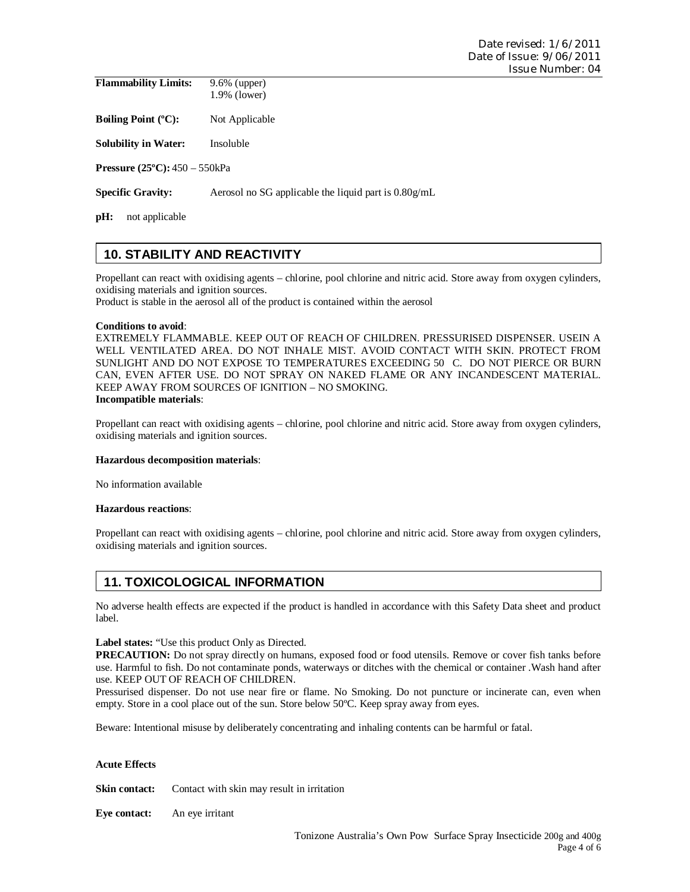| <b>Flammability Limits:</b> | $9.6\%$ (upper) |
|-----------------------------|-----------------|
|                             | $1.9\%$ (lower) |

**Boiling Point (°C):** Not Applicable

**Solubility in Water:** Insoluble

**Pressure (25ºC):** 450 – 550kPa

**Specific Gravity:** Aerosol no SG applicable the liquid part is  $0.80g$ /mL

**pH:** not applicable

# **10. STABILITY AND REACTIVITY**

Propellant can react with oxidising agents – chlorine, pool chlorine and nitric acid. Store away from oxygen cylinders, oxidising materials and ignition sources.

Product is stable in the aerosol all of the product is contained within the aerosol

#### **Conditions to avoid**:

EXTREMELY FLAMMABLE. KEEP OUT OF REACH OF CHILDREN. PRESSURISED DISPENSER. USEIN A WELL VENTILATED AREA. DO NOT INHALE MIST. AVOID CONTACT WITH SKIN. PROTECT FROM SUNLIGHT AND DO NOT EXPOSE TO TEMPERATURES EXCEEDING 50 C. DO NOT PIERCE OR BURN CAN, EVEN AFTER USE. DO NOT SPRAY ON NAKED FLAME OR ANY INCANDESCENT MATERIAL. KEEP AWAY FROM SOURCES OF IGNITION – NO SMOKING. **Incompatible materials**:

Propellant can react with oxidising agents – chlorine, pool chlorine and nitric acid. Store away from oxygen cylinders, oxidising materials and ignition sources.

#### **Hazardous decomposition materials**:

No information available

#### **Hazardous reactions**:

Propellant can react with oxidising agents – chlorine, pool chlorine and nitric acid. Store away from oxygen cylinders, oxidising materials and ignition sources.

# **11. TOXICOLOGICAL INFORMATION**

No adverse health effects are expected if the product is handled in accordance with this Safety Data sheet and product label.

**Label states:** "Use this product Only as Directed.

**PRECAUTION:** Do not spray directly on humans, exposed food or food utensils. Remove or cover fish tanks before use. Harmful to fish. Do not contaminate ponds, waterways or ditches with the chemical or container .Wash hand after use. KEEP OUT OF REACH OF CHILDREN.

Pressurised dispenser. Do not use near fire or flame. No Smoking. Do not puncture or incinerate can, even when empty. Store in a cool place out of the sun. Store below 50ºC. Keep spray away from eyes.

Beware: Intentional misuse by deliberately concentrating and inhaling contents can be harmful or fatal.

#### **Acute Effects**

**Skin contact:** Contact with skin may result in irritation

**Eye contact:** An eye irritant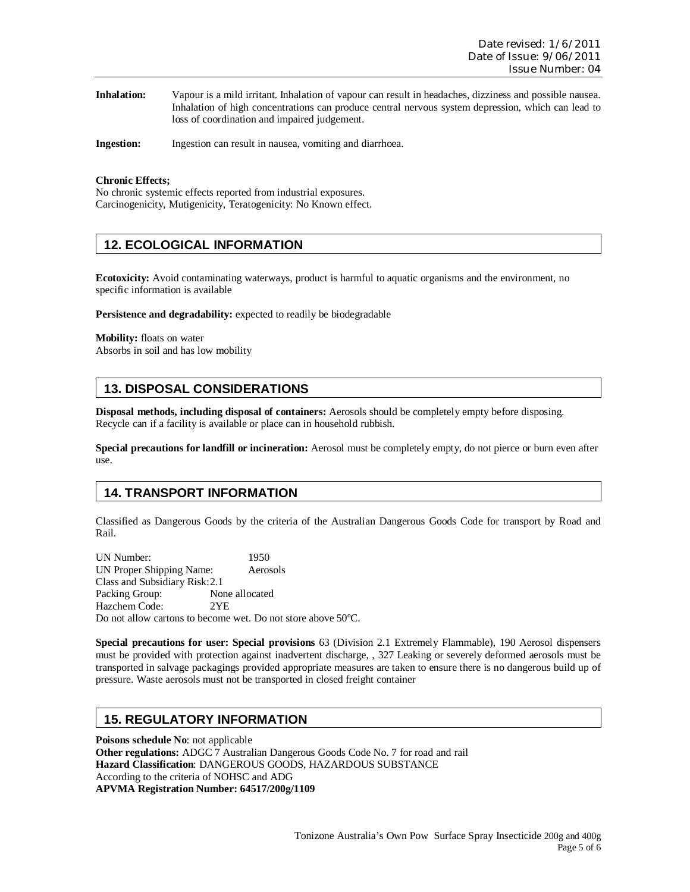| <b>Inhalation:</b> | Vapour is a mild irritant. Inhalation of vapour can result in headaches, dizziness and possible nausea. |
|--------------------|---------------------------------------------------------------------------------------------------------|
|                    | Inhalation of high concentrations can produce central nervous system depression, which can lead to      |
|                    | loss of coordination and impaired judgement.                                                            |

**Ingestion:** Ingestion can result in nausea, vomiting and diarrhoea.

#### **Chronic Effects;**

No chronic systemic effects reported from industrial exposures. Carcinogenicity, Mutigenicity, Teratogenicity: No Known effect.

### **12. ECOLOGICAL INFORMATION**

**Ecotoxicity:** Avoid contaminating waterways, product is harmful to aquatic organisms and the environment, no specific information is available

**Persistence and degradability:** expected to readily be biodegradable

**Mobility:** floats on water Absorbs in soil and has low mobility

# **13. DISPOSAL CONSIDERATIONS**

**Disposal methods, including disposal of containers:** Aerosols should be completely empty before disposing. Recycle can if a facility is available or place can in household rubbish.

**Special precautions for landfill or incineration:** Aerosol must be completely empty, do not pierce or burn even after use.

### **14. TRANSPORT INFORMATION**

Classified as Dangerous Goods by the criteria of the Australian Dangerous Goods Code for transport by Road and Rail.

UN Number: 1950 UN Proper Shipping Name: Aerosols Class and Subsidiary Risk: 2.1 Packing Group: None allocated Hazchem Code: 2YE Do not allow cartons to become wet. Do not store above 50ºC.

**Special precautions for user: Special provisions** 63 (Division 2.1 Extremely Flammable), 190 Aerosol dispensers must be provided with protection against inadvertent discharge, , 327 Leaking or severely deformed aerosols must be transported in salvage packagings provided appropriate measures are taken to ensure there is no dangerous build up of pressure. Waste aerosols must not be transported in closed freight container

### **15. REGULATORY INFORMATION**

**Poisons schedule No**: not applicable **Other regulations:** ADGC 7 Australian Dangerous Goods Code No. 7 for road and rail **Hazard Classification**: DANGEROUS GOODS, HAZARDOUS SUBSTANCE According to the criteria of NOHSC and ADG **APVMA Registration Number: 64517/200g/1109**